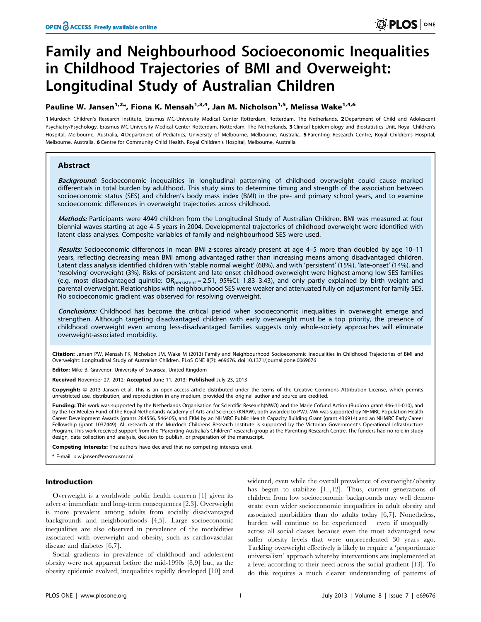# Family and Neighbourhood Socioeconomic Inequalities in Childhood Trajectories of BMI and Overweight: Longitudinal Study of Australian Children

# Pauline W. Jansen<sup>1,2\*</sup>, Fiona K. Mensah<sup>1,3,4</sup>, Jan M. Nicholson<sup>1,5</sup>, Melissa Wake<sup>1,4,6</sup>

1 Murdoch Children's Research Institute, Erasmus MC-University Medical Center Rotterdam, Rotterdam, The Netherlands, 2 Department of Child and Adolescent Psychiatry/Psychology, Erasmus MC-University Medical Center Rotterdam, Rotterdam, The Netherlands, 3 Clinical Epidemiology and Biostatistics Unit, Royal Children's Hospital, Melbourne, Australia, 4Department of Pediatrics, University of Melbourne, Melbourne, Australia, 5 Parenting Research Centre, Royal Children's Hospital, Melbourne, Australia, 6 Centre for Community Child Health, Royal Children's Hospital, Melbourne, Australia

# Abstract

Background: Socioeconomic inequalities in longitudinal patterning of childhood overweight could cause marked differentials in total burden by adulthood. This study aims to determine timing and strength of the association between socioeconomic status (SES) and children's body mass index (BMI) in the pre- and primary school years, and to examine socioeconomic differences in overweight trajectories across childhood.

Methods: Participants were 4949 children from the Longitudinal Study of Australian Children. BMI was measured at four biennial waves starting at age 4–5 years in 2004. Developmental trajectories of childhood overweight were identified with latent class analyses. Composite variables of family and neighbourhood SES were used.

Results: Socioeconomic differences in mean BMI z-scores already present at age 4-5 more than doubled by age 10-11 years, reflecting decreasing mean BMI among advantaged rather than increasing means among disadvantaged children. Latent class analysis identified children with 'stable normal weight' (68%), and with 'persistent' (15%), 'late-onset' (14%), and 'resolving' overweight (3%). Risks of persistent and late-onset childhood overweight were highest among low SES families (e.g. most disadvantaged quintile: OR<sub>persistent</sub> = 2.51, 95%Cl: 1.83-3.43), and only partly explained by birth weight and parental overweight. Relationships with neighbourhood SES were weaker and attenuated fully on adjustment for family SES. No socioeconomic gradient was observed for resolving overweight.

Conclusions: Childhood has become the critical period when socioeconomic inequalities in overweight emerge and strengthen. Although targeting disadvantaged children with early overweight must be a top priority, the presence of childhood overweight even among less-disadvantaged families suggests only whole-society approaches will eliminate overweight-associated morbidity.

Citation: Jansen PW, Mensah FK, Nicholson JM, Wake M (2013) Family and Neighbourhood Socioeconomic Inequalities in Childhood Trajectories of BMI and Overweight: Longitudinal Study of Australian Children. PLoS ONE 8(7): e69676. doi:10.1371/journal.pone.0069676

Editor: Mike B. Gravenor, University of Swansea, United Kingdom

Received November 27, 2012; Accepted June 11, 2013; Published July 23, 2013

Copyright: @ 2013 Jansen et al. This is an open-access article distributed under the terms of the Creative Commons Attribution License, which permits unrestricted use, distribution, and reproduction in any medium, provided the original author and source are credited.

Funding: This work was supported by the Netherlands Organisation for Scientific Research(NWO) and the Marie Cofund Action (Rubicon grant 446-11-010), and by the Ter Meulen Fund of the Royal Netherlands Academy of Arts and Sciences (KNAW), both awarded to PWJ. MW was supported by NHMRC Population Health Career Development Awards (grants 284556, 546405), and FKM by an NHMRC Public Health Capacity Building Grant (grant 436914) and an NHMRC Early Career Fellowship (grant 1037449). All research at the Murdoch Childrens Research Institute is supported by the Victorian Government's Operational Infrastructure Program. This work received support from the ''Parenting Australia's Children'' research group at the Parenting Research Centre. The funders had no role in study design, data collection and analysis, decision to publish, or preparation of the manuscript.

Competing Interests: The authors have declared that no competing interests exist.

\* E-mail: p.w.jansen@erasmusmc.nl

# Introduction

Overweight is a worldwide public health concern [1] given its adverse immediate and long-term consequences [2,3]. Overweight is more prevalent among adults from socially disadvantaged backgrounds and neighbourhoods [4,5]. Large socioeconomic inequalities are also observed in prevalence of the morbidities associated with overweight and obesity, such as cardiovascular disease and diabetes [6,7].

Social gradients in prevalence of childhood and adolescent obesity were not apparent before the mid-1990s [8,9] but, as the obesity epidemic evolved, inequalities rapidly developed [10] and widened, even while the overall prevalence of overweight/obesity has begun to stabilize [11,12]. Thus, current generations of children from low socioeconomic backgrounds may well demonstrate even wider socioeconomic inequalities in adult obesity and associated morbidities than do adults today [6,7]. Nonetheless, burden will continue to be experienced – even if unequally – across all social classes because even the most advantaged now suffer obesity levels that were unprecedented 30 years ago. Tackling overweight effectively is likely to require a 'proportionate universalism' approach whereby interventions are implemented at a level according to their need across the social gradient [13]. To do this requires a much clearer understanding of patterns of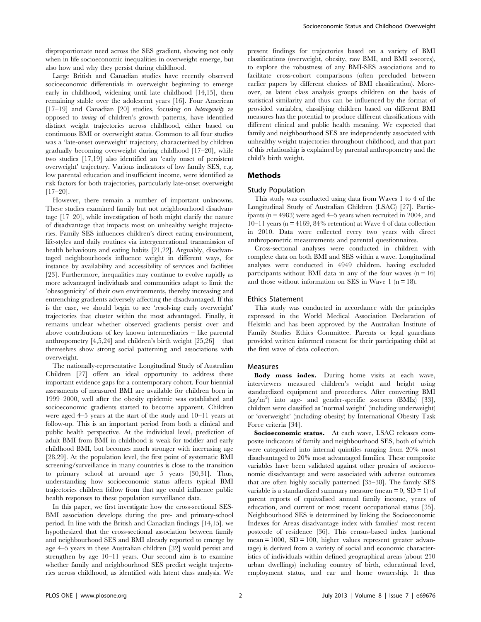disproportionate need across the SES gradient, showing not only when in life socioeconomic inequalities in overweight emerge, but also how and why they persist during childhood.

Large British and Canadian studies have recently observed socioeconomic differentials in overweight beginning to emerge early in childhood, widening until late childhood [14,15], then remaining stable over the adolescent years [16]. Four American [17–19] and Canadian [20] studies, focusing on *heterogeneity* as opposed to timing of children's growth patterns, have identified distinct weight trajectories across childhood, either based on continuous BMI or overweight status. Common to all four studies was a 'late-onset overweight' trajectory, characterized by children gradually becoming overweight during childhood [17–20], while two studies [17,19] also identified an 'early onset of persistent overweight' trajectory. Various indicators of low family SES, e.g. low parental education and insufficient income, were identified as risk factors for both trajectories, particularly late-onset overweight  $[17–20]$ .

However, there remain a number of important unknowns. These studies examined family but not neighbourhood disadvantage [17–20], while investigation of both might clarify the nature of disadvantage that impacts most on unhealthy weight trajectories. Family SES influences children's direct eating environment, life-styles and daily routines via intergenerational transmission of health behaviours and eating habits [21,22]. Arguably, disadvantaged neighbourhoods influence weight in different ways, for instance by availability and accessibility of services and facilities [23]. Furthermore, inequalities may continue to evolve rapidly as more advantaged individuals and communities adapt to limit the 'obesogenicity' of their own environments, thereby increasing and entrenching gradients adversely affecting the disadvantaged. If this is the case, we should begin to see 'resolving early overweight' trajectories that cluster within the most advantaged. Finally, it remains unclear whether observed gradients persist over and above contributions of key known intermediaries – like parental anthropometry  $[4,5,24]$  and children's birth weight  $[25,26]$  – that themselves show strong social patterning and associations with overweight.

The nationally-representative Longitudinal Study of Australian Children [27] offers an ideal opportunity to address these important evidence gaps for a contemporary cohort. Four biennial assessments of measured BMI are available for children born in 1999–2000, well after the obesity epidemic was established and socioeconomic gradients started to become apparent. Children were aged 4–5 years at the start of the study and 10–11 years at follow-up. This is an important period from both a clinical and public health perspective. At the individual level, prediction of adult BMI from BMI in childhood is weak for toddler and early childhood BMI, but becomes much stronger with increasing age [28,29]. At the population level, the first point of systematic BMI screening/surveillance in many countries is close to the transition to primary school at around age 5 years [30,31]. Thus, understanding how socioeconomic status affects typical BMI trajectories children follow from that age could influence public health responses to these population surveillance data.

In this paper, we first investigate how the cross-sectional SES-BMI association develops during the pre- and primary-school period. In line with the British and Canadian findings [14,15]. we hypothesized that the cross-sectional association between family and neighbourhood SES and BMI already reported to emerge by age 4–5 years in these Australian children [32] would persist and strengthen by age 10–11 years. Our second aim is to examine whether family and neighbourhood SES predict weight trajectories across childhood, as identified with latent class analysis. We present findings for trajectories based on a variety of BMI classifications (overweight, obesity, raw BMI, and BMI z-scores), to explore the robustness of any BMI-SES associations and to facilitate cross-cohort comparisons (often precluded between earlier papers by different choices of BMI classification). Moreover, as latent class analysis groups children on the basis of statistical similarity and thus can be influenced by the format of provided variables, classifying children based on different BMI measures has the potential to produce different classifications with different clinical and public health meaning. We expected that family and neighbourhood SES are independently associated with unhealthy weight trajectories throughout childhood, and that part of this relationship is explained by parental anthropometry and the child's birth weight.

## Methods

#### Study Population

This study was conducted using data from Waves 1 to 4 of the Longitudinal Study of Australian Children (LSAC) [27]. Participants (n = 4983) were aged 4–5 years when recruited in 2004, and  $10-11$  years (n = 4169, 84% retention) at Wave 4 of data collection in 2010. Data were collected every two years with direct anthropometric measurements and parental questionnaires.

Cross-sectional analyses were conducted in children with complete data on both BMI and SES within a wave. Longitudinal analyses were conducted in 4949 children, having excluded participants without BMI data in any of the four waves  $(n = 16)$ and those without information on SES in Wave 1 ( $n = 18$ ).

#### Ethics Statement

This study was conducted in accordance with the principles expressed in the World Medical Association Declaration of Helsinki and has been approved by the Australian Institute of Family Studies Ethics Committee. Parents or legal guardians provided written informed consent for their participating child at the first wave of data collection.

#### Measures

Body mass index. During home visits at each wave, interviewers measured children's weight and height using standardized equipment and procedures. After converting BMI (kg/m<sup>2</sup> ) into age- and gender-specific z-scores (BMIz) [33], children were classified as 'normal weight' (including underweight) or 'overweight' (including obesity) by International Obesity Task Force criteria [34].

Socioeconomic status. At each wave, LSAC releases composite indicators of family and neighbourhood SES, both of which were categorized into internal quintiles ranging from 20% most disadvantaged to 20% most advantaged families. These composite variables have been validated against other proxies of socioeconomic disadvantage and were associated with adverse outcomes that are often highly socially patterned [35–38]. The family SES variable is a standardized summary measure (mean  $= 0$ , SD  $= 1$ ) of parent reports of equivalised annual family income, years of education, and current or most recent occupational status [35]. Neighbourhood SES is determined by linking the Socioeconomic Indexes for Areas disadvantage index with families' most recent postcode of residence [36]. This census-based index (national mean =  $1000$ , SD =  $100$ , higher values represent greater advantage) is derived from a variety of social and economic characteristics of individuals within defined geographical areas (about 250 urban dwellings) including country of birth, educational level, employment status, and car and home ownership. It thus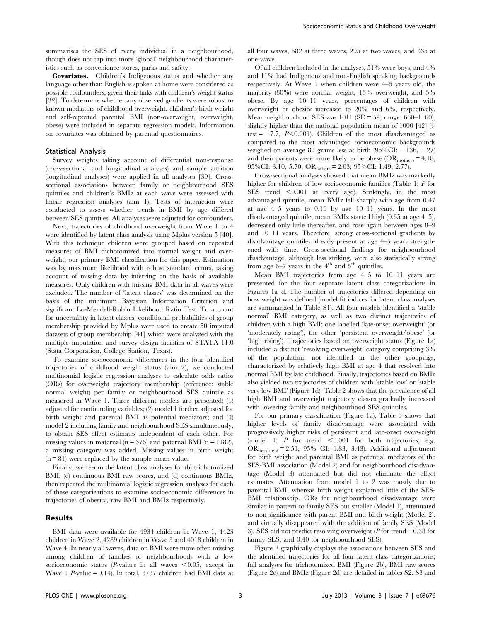summarises the SES of every individual in a neighbourhood, though does not tap into more 'global' neighbourhood characteristics such as convenience stores, parks and safety.

Covariates. Children's Indigenous status and whether any language other than English is spoken at home were considered as possible confounders, given their links with children's weight status [32]. To determine whether any observed gradients were robust to known mediators of childhood overweight, children's birth weight and self-reported parental BMI (non-overweight, overweight, obese) were included in separate regression models. Information on covariates was obtained by parental questionnaires.

#### Statistical Analysis

Survey weights taking account of differential non-response (cross-sectional and longitudinal analyses) and sample attrition (longitudinal analyses) were applied in all analyses [39]. Crosssectional associations between family or neighbourhood SES quintiles and children's BMIz at each wave were assessed with linear regression analyses (aim 1). Tests of interaction were conducted to assess whether trends in BMI by age differed between SES quintiles. All analyses were adjusted for confounders.

Next, trajectories of childhood overweight from Wave 1 to 4 were identified by latent class analysis using Mplus version 5 [40]. With this technique children were grouped based on repeated measures of BMI dichotomized into normal weight and overweight, our primary BMI classification for this paper. Estimation was by maximum likelihood with robust standard errors, taking account of missing data by inferring on the basis of available measures. Only children with missing BMI data in all waves were excluded. The number of 'latent classes' was determined on the basis of the minimum Bayesian Information Criterion and significant Lo-Mendell-Rubin Likelihood Ratio Test. To account for uncertainty in latent classes, conditional probabilities of group membership provided by Mplus were used to create 50 imputed datasets of group membership [41] which were analyzed with the multiple imputation and survey design facilities of STATA 11.0 (Stata Corporation, College Station, Texas).

To examine socioeconomic differences in the four identified trajectories of childhood weight status (aim 2), we conducted multinomial logistic regression analyses to calculate odds ratios (ORs) for overweight trajectory membership (reference: stable normal weight) per family or neighbourhood SES quintile as measured in Wave 1. Three different models are presented: (1) adjusted for confounding variables; (2) model 1 further adjusted for birth weight and parental BMI as potential mediators; and (3) model 2 including family and neighbourhood SES simultaneously, to obtain SES effect estimates independent of each other. For missing values in maternal ( $n = 376$ ) and paternal BMI ( $n = 1182$ ), a missing category was added. Missing values in birth weight (n = 81) were replaced by the sample mean value.

Finally, we re-ran the latent class analyses for (b) trichotomized BMI, (c) continuous BMI raw scores, and (d) continuous BMIz, then repeated the multinomial logistic regression analyses for each of these categorizations to examine socioeconomic differences in trajectories of obesity, raw BMI and BMIz respectively.

## Results

BMI data were available for 4934 children in Wave 1, 4423 children in Wave 2, 4289 children in Wave 3 and 4018 children in Wave 4. In nearly all waves, data on BMI were more often missing among children of families or neighbourhoods with a low socioeconomic status (*P*-values in all waves  $\leq 0.05$ , except in Wave 1 P-value = 0.14). In total, 3737 children had BMI data at all four waves, 582 at three waves, 295 at two waves, and 335 at one wave.

Of all children included in the analyses, 51% were boys, and 4% and 11% had Indigenous and non-English speaking backgrounds respectively. At Wave 1 when children were 4–5 years old, the majority (80%) were normal weight, 15% overweight, and 5% obese. By age 10–11 years, percentages of children with overweight or obesity increased to 20% and 6%, respectively. Mean neighbourhood SES was  $1011$  (SD = 59, range: 660–1160), slightly higher than the national population mean of 1000 [42] (ttest  $= -7.7$ ,  $P<0.001$ ). Children of the most disadvantaged as compared to the most advantaged socioeconomic backgrounds weighed on average 81 grams less at birth  $(95\% CI: -136, -27)$ and their parents were more likely to be obese  $(OR<sub>mothers</sub> = 4.18,$ 95%CI: 3.10, 5.70; ORfathers= 2.03, 95%CI: 1.49, 2.77).

Cross-sectional analyses showed that mean BMIz was markedly higher for children of low socioeconomic families (Table 1; P for SES trend  $\leq 0.001$  at every age). Strikingly, in the most advantaged quintile, mean BMIz fell sharply with age from 0.47 at age 4–5 years to 0.19 by age 10–11 years. In the most disadvantaged quintile, mean BMIz started high (0.65 at age 4–5), decreased only little thereafter, and rose again between ages 8–9 and 10–11 years. Therefore, strong cross-sectional gradients by disadvantage quintiles already present at age 4–5 years strengthened with time. Cross-sectional findings for neighbourhood disadvantage, although less striking, were also statistically strong from age  $6-7$  years in the  $4<sup>th</sup>$  and  $5<sup>th</sup>$  quintiles.

Mean BMI trajectories from age 4–5 to 10–11 years are presented for the four separate latent class categorizations in Figures 1a–d. The number of trajectories differed depending on how weight was defined (model fit indices for latent class analyses are summarized in Table S1). All four models identified a 'stable normal' BMI category, as well as two distinct trajectories of children with a high BMI: one labelled 'late-onset overweight' (or 'moderately rising'), the other 'persistent overweight/obese' (or 'high rising'). Trajectories based on overweight status (Figure 1a) included a distinct 'resolving overweight' category comprising 3% of the population, not identified in the other groupings, characterized by relatively high BMI at age 4 that resolved into normal BMI by late childhood. Finally, trajectories based on BMIz also yielded two trajectories of children with 'stable low' or 'stable very low BMI' (Figure 1d). Table 2 shows that the prevalence of all high BMI and overweight trajectory classes gradually increased with lowering family and neighbourhood SES quintiles.

For our primary classification (Figure 1a), Table 3 shows that higher levels of family disadvantage were associated with progressively higher risks of persistent and late-onset overweight (model 1:  $P$  for trend  $\leq 0.001$  for both trajectories; e.g. ORpersistent= 2.51, 95% CI: 1.83, 3.43). Additional adjustment for birth weight and parental BMI as potential mediators of the SES-BMI association (Model 2) and for neighbourhood disadvantage (Model 3) attenuated but did not eliminate the effect estimates. Attenuation from model 1 to 2 was mostly due to parental BMI, whereas birth weight explained little of the SES-BMI relationship. ORs for neighbourhood disadvantage were similar in pattern to family SES but smaller (Model 1), attenuated to non-significance with parent BMI and birth weight (Model 2), and virtually disappeared with the addition of family SES (Model 3). SES did not predict resolving overweight ( $P$  for trend = 0.38 for family SES, and 0.40 for neighbourhood SES).

Figure 2 graphically displays the associations between SES and the identified trajectories for all four latent class categorizations; full analyses for trichotomized BMI (Figure 2b), BMI raw scores (Figure 2c) and BMIz (Figure 2d) are detailed in tables S2, S3 and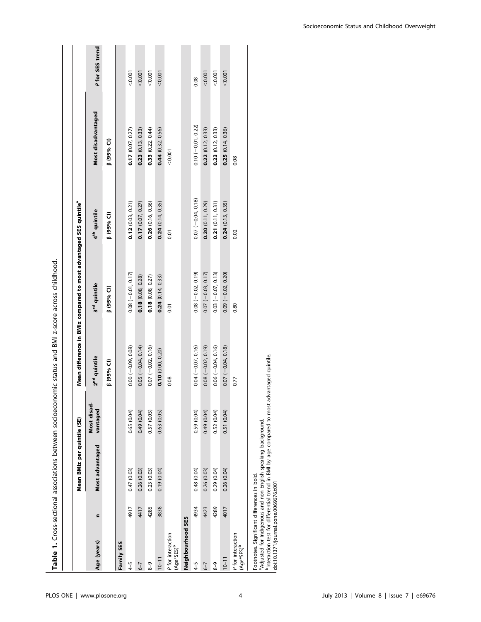|                                                                                                                                                                                                                                                                  |                    | Mean BMIz per quintile (SE) |                          | Mean difference in BMIz compared to most advantaged SES quintile® |                          |                      |                |
|------------------------------------------------------------------------------------------------------------------------------------------------------------------------------------------------------------------------------------------------------------------|--------------------|-----------------------------|--------------------------|-------------------------------------------------------------------|--------------------------|----------------------|----------------|
| c<br>Age (years)                                                                                                                                                                                                                                                 | Most advantaged    | Most disad-<br>vantaged     | 2 <sup>nd</sup> quintile | 3rd quintile                                                      | 4 <sup>th</sup> quintile | Most disadvantaged   | Pfor SES trend |
|                                                                                                                                                                                                                                                                  |                    |                             | <b>B</b> (95% CI)        | $(95%$ CI                                                         | <b>[</b> (95% Cl)        | <b>[</b> 95% Cl      |                |
| Family SES                                                                                                                                                                                                                                                       |                    |                             |                          |                                                                   |                          |                      |                |
| 4917<br>$4 - 5$                                                                                                                                                                                                                                                  | 0.47(0.03)         | 0.65 (0.04)                 | $0.00 (-0.09, 0.08)$     | $0.08 (-0.01, 0.17)$                                              | $0.12$ (0.03, 0.21)      | 0.17(0.07, 0.27)     | 0.001          |
| 4417<br>$6 - 7$                                                                                                                                                                                                                                                  | 0.26(0.03)         | 0.49 (0.04)                 | $0.05 (-0.04, 0.14)$     | 0.18(0.08, 0.28)                                                  | $0.17$ (0.07, 0.27)      | 0.23(0.13, 0.33)     | < 0.001        |
| 4285<br>$8 - 9$                                                                                                                                                                                                                                                  | 0.23(0.03)         | 0.57 (0.05)                 | $0.07 (-0.02, 0.16)$     | 0.18(0.08, 0.27)                                                  | $0.26$ (0.16, 0.36)      | 0.33(0.22, 0.44)     | 0.001          |
| 3838<br>$10 - 11$                                                                                                                                                                                                                                                | 0.19 (0.04)        | 0.63 (0.05)                 | $0.10$ (0.00, 0.20)      | 0.24(0.14, 0.33)                                                  | 0.24(0.14, 0.35)         | 0.44(0.32, 0.56)     | < 0.001        |
| P for interaction<br>$(Age*SES)^b$                                                                                                                                                                                                                               |                    |                             | 0.08                     | 0.01                                                              | 0.01                     | < 0.001              |                |
| Neighbourhood SES                                                                                                                                                                                                                                                |                    |                             |                          |                                                                   |                          |                      |                |
| $4 - 5$                                                                                                                                                                                                                                                          | 0.48(0.04)<br>4934 | 0.59 (0.04)                 | $0.04 (-0.07, 0.16)$     | $0.08 (-0.02, 0.19)$                                              | $0.07 (-0.04, 0.18)$     | $0.10 (-0.01, 0.22)$ | 0.08           |
| 4423<br>$6 - 7$                                                                                                                                                                                                                                                  | 0.26(0.03)         | 0.49 (0.04)                 | $0.08 (-0.02, 0.19)$     | $0.07 (-0.03, 0.17)$                                              | $0.20$ $(0.11, 0.29)$    | 0.22(0.12, 0.33)     | < 0.001        |
| 4289<br>$8-9$                                                                                                                                                                                                                                                    | 0.29(0.04)         | 0.52 (0.04)                 | $0.06 (-0.04, 0.16)$     | $0.03 (-0.07, 0.13)$                                              | 0.21(0.11, 0.31)         | 0.23(0.12, 0.33)     | 0.001          |
| 4017<br>$10 - 11$                                                                                                                                                                                                                                                | 0.26(0.04)         | 0.51 (0.04)                 | $0.07 (-0.04, 0.18)$     | $0.09 (-0.02, 0.20)$                                              | 0.24(0.13, 0.35)         | 0.25(0.14, 0.36)     | < 0.001        |
| P for interaction<br>$(Age*SES)^b$                                                                                                                                                                                                                               |                    |                             | 0.77                     | 0.80                                                              | 0.02                     | 0.08                 |                |
| Interaction test for differential trend in BMI by age compared to most advantaged quintile.<br><sup>a</sup> Adjusted for Indigenous and non-English speaking background.<br>Footnotes. Significant differences in bold.<br>doi:10.1371/journal.pone.0069676.t001 |                    |                             |                          |                                                                   |                          |                      |                |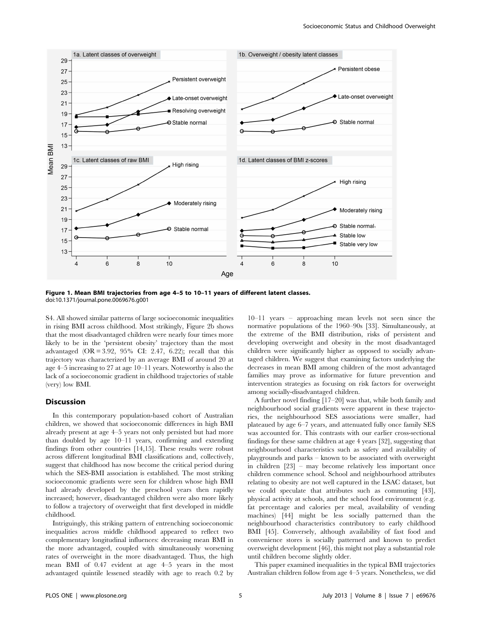

Figure 1. Mean BMI trajectories from age 4–5 to 10–11 years of different latent classes. doi:10.1371/journal.pone.0069676.g001

S4. All showed similar patterns of large socioeconomic inequalities in rising BMI across childhood. Most strikingly, Figure 2b shows that the most disadvantaged children were nearly four times more likely to be in the 'persistent obesity' trajectory than the most advantaged  $(OR = 3.92, 95\% \text{ CI: } 2.47, 6.22)$ ; recall that this trajectory was characterized by an average BMI of around 20 at age 4–5 increasing to 27 at age 10–11 years. Noteworthy is also the lack of a socioeconomic gradient in childhood trajectories of stable (very) low BMI.

#### Discussion

In this contemporary population-based cohort of Australian children, we showed that socioeconomic differences in high BMI already present at age 4–5 years not only persisted but had more than doubled by age 10–11 years, confirming and extending findings from other countries [14,15]. These results were robust across different longitudinal BMI classifications and, collectively, suggest that childhood has now become the critical period during which the SES-BMI association is established. The most striking socioeconomic gradients were seen for children whose high BMI had already developed by the preschool years then rapidly increased; however, disadvantaged children were also more likely to follow a trajectory of overweight that first developed in middle childhood.

Intriguingly, this striking pattern of entrenching socioeconomic inequalities across middle childhood appeared to reflect two complementary longitudinal influences: decreasing mean BMI in the more advantaged, coupled with simultaneously worsening rates of overweight in the more disadvantaged. Thus, the high mean BMI of 0.47 evident at age 4–5 years in the most advantaged quintile lessened steadily with age to reach 0.2 by

10–11 years – approaching mean levels not seen since the normative populations of the 1960–90s [33]. Simultaneously, at the extreme of the BMI distribution, risks of persistent and developing overweight and obesity in the most disadvantaged children were significantly higher as opposed to socially advantaged children. We suggest that examining factors underlying the decreases in mean BMI among children of the most advantaged families may prove as informative for future prevention and intervention strategies as focusing on risk factors for overweight among socially-disadvantaged children.

A further novel finding [17–20] was that, while both family and neighbourhood social gradients were apparent in these trajectories, the neighbourhood SES associations were smaller, had plateaued by age 6–7 years, and attenuated fully once family SES was accounted for. This contrasts with our earlier cross-sectional findings for these same children at age 4 years [32], suggesting that neighbourhood characteristics such as safety and availability of playgrounds and parks – known to be associated with overweight in children [23] – may become relatively less important once children commence school. School and neighbourhood attributes relating to obesity are not well captured in the LSAC dataset, but we could speculate that attributes such as commuting [43], physical activity at schools, and the school food environment (e.g. fat percentage and calories per meal, availability of vending machines) [44] might be less socially patterned than the neighbourhood characteristics contributory to early childhood BMI [45]. Conversely, although availability of fast food and convenience stores is socially patterned and known to predict overweight development [46], this might not play a substantial role until children become slightly older.

This paper examined inequalities in the typical BMI trajectories Australian children follow from age 4–5 years. Nonetheless, we did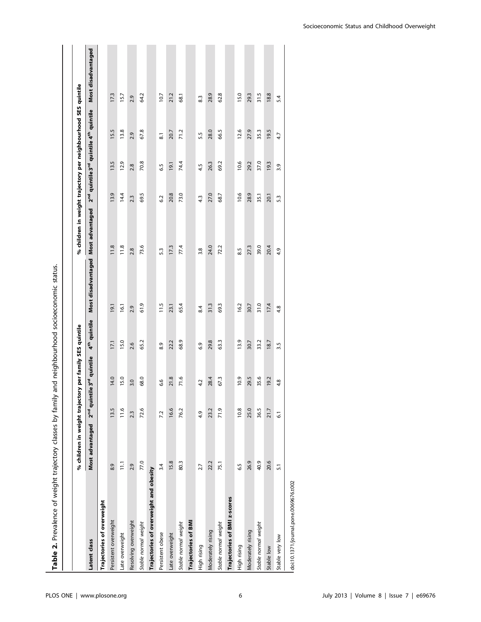| Table 2. Prevalence of weight trajectory classes by family |                                                         |                |                                                   |                          | and neighbourhood socioeconomic status. |                                                                |                  |      |                                                                            |                    |
|------------------------------------------------------------|---------------------------------------------------------|----------------|---------------------------------------------------|--------------------------|-----------------------------------------|----------------------------------------------------------------|------------------|------|----------------------------------------------------------------------------|--------------------|
|                                                            | % children in weight trajectory per family SES quintile |                |                                                   |                          |                                         | % children in weight trajectory per neighbourhood SES quintile |                  |      |                                                                            |                    |
|                                                            |                                                         |                |                                                   |                          |                                         |                                                                |                  |      |                                                                            |                    |
| Latent class                                               | Most advantaged                                         |                | 2 <sup>nd</sup> quintile 3 <sup>rd</sup> quintile | 4 <sup>th</sup> quintile | Most disadvantaged                      | Most advantaged                                                |                  |      | 2 <sup>nd</sup> quintile 3 <sup>rd</sup> quintile 4 <sup>th</sup> quintile | Most disadvantaged |
| Trajectories of overweight                                 |                                                         |                |                                                   |                          |                                         |                                                                |                  |      |                                                                            |                    |
| Persistent overweight                                      | 8.9                                                     | 13.5           | 14.0                                              | 17.1                     | 19.1                                    | 11.8                                                           | 13.9             | 13.5 | 15.5                                                                       | 17.3               |
| Late overweight                                            | $\begin{bmatrix} 1 \\ 1 \end{bmatrix}$                  | 11.6           | 15.0                                              | 15.0                     | 16.1                                    | 11.8                                                           | 14.4             | 12.9 | 13.8                                                                       | 15.7               |
| Resolving overweight                                       | 2.9                                                     | 2.3            | $\frac{30}{5}$                                    | 2.6                      | 2.9                                     | 2.8                                                            | 2.3              | 2.8  | 2.9                                                                        | 2.9                |
| Stable normal weight                                       | 77.0                                                    | 72.6           | 68.0                                              | 65.2                     | 61.9                                    | 73.6                                                           | 69.5             | 70.8 | 67.8                                                                       | 64.2               |
| Trajectories of overweight and obesity                     |                                                         |                |                                                   |                          |                                         |                                                                |                  |      |                                                                            |                    |
| Persistent obese                                           | 3.4                                                     | 7.2            | 6.6                                               | 8.9                      | 11.5                                    | 5.3                                                            | 6.2              | 6.5  | $\overline{8}$ .                                                           | 10.7               |
| Late overweight                                            | 15.8                                                    | 16.6           | 21.8                                              | 22.2                     | 23.1                                    | 17.3                                                           | 20.8             | 19.1 | 20.7                                                                       | 21.2               |
| Stable normal weight                                       | 80.3                                                    | 76.2           | 71.6                                              | 68.9                     | 65.4                                    | 77.4                                                           | 73.0             | 74.4 | 71.2                                                                       | 68.1               |
| <b>Trajectories of BMI</b>                                 |                                                         |                |                                                   |                          |                                         |                                                                |                  |      |                                                                            |                    |
| High rising                                                | 2.7                                                     | 4.9            | 4.2                                               | 6.9                      | 8.4                                     | 3.8                                                            | $4.\overline{3}$ | 4.5  | 5.5                                                                        | 8.3                |
| Moderately rising                                          | 22.2                                                    | 23.2           | 28.4                                              | 29.8                     | 31.3                                    | 24.0                                                           | 27.0             | 26.3 | 28.0                                                                       | 28.9               |
| Stable normal weight                                       | 75.1                                                    | 71.9           | 67.3                                              | 63.3                     | 69.3                                    | 72.2                                                           | 68.7             | 69.2 | 66.5                                                                       | 62.8               |
| Trajectories of BMI z-scores                               |                                                         |                |                                                   |                          |                                         |                                                                |                  |      |                                                                            |                    |
| High rising                                                | 6.5                                                     | 10.8           | 10.9                                              | 13.9                     | 16.2                                    | 8.5                                                            | 10.6             | 10.6 | 12.6                                                                       | 15.0               |
| Moderately rising                                          | 26.9                                                    | 25.0           | 29.5                                              | 30.7                     | 30.7                                    | 27.3                                                           | 28.9             | 29.2 | 27.9                                                                       | 29.3               |
| Stable normal weight                                       | 40.9                                                    | 36.5           | 35.6                                              | 33.2                     | 31.0                                    | 39.0                                                           | 35.1             | 37.0 | 35.3                                                                       | 31.5               |
| Stable low                                                 | 20.6                                                    | 21.7           | 19.2                                              | 18.7                     | 17.4                                    | 20.4                                                           | 20.1             | 19.3 | 19.5                                                                       | 18.8               |
| Stable very low                                            | 5.1                                                     | $\overline{6}$ | 4.8                                               | 3.5                      | 4.8                                     | 4.9                                                            | 5.3              | 3.9  | 4.7                                                                        | 5.4                |
| doi:10.1371/journal.pone.0069676.t002                      |                                                         |                |                                                   |                          |                                         |                                                                |                  |      |                                                                            |                    |

Socioeconomic Status and Childhood Overweight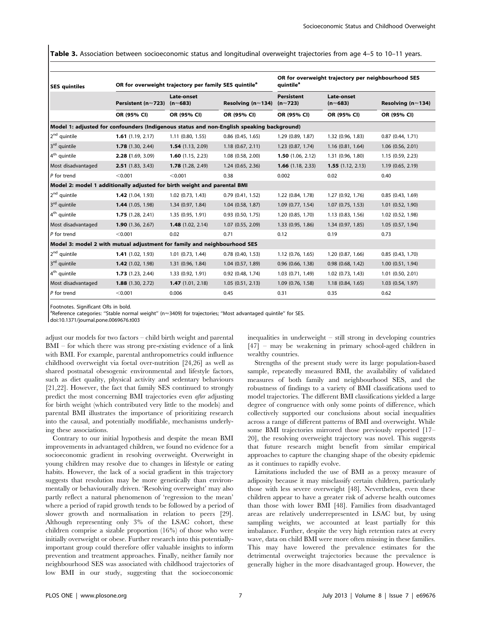Table 3. Association between socioeconomic status and longitudinal overweight trajectories from age 4–5 to 10–11 years.

| <b>SES</b> quintiles                                                                      |                     | OR for overweight trajectory per family SES quintile <sup>a</sup> |                               |                                        | OR for overweight trajectory per neighbourhood SES<br>quintile <sup>a</sup> |                               |  |  |
|-------------------------------------------------------------------------------------------|---------------------|-------------------------------------------------------------------|-------------------------------|----------------------------------------|-----------------------------------------------------------------------------|-------------------------------|--|--|
|                                                                                           | Persistent (n≈723)  | <b>Late-onset</b><br>$(n \approx 683)$                            | Resolving ( $n \approx 134$ ) | <b>Persistent</b><br>$(n \approx 723)$ | Late-onset<br>$(n \approx 683)$                                             | Resolving ( $n \approx 134$ ) |  |  |
|                                                                                           | OR (95% CI)         | OR (95% CI)                                                       | OR (95% CI)                   | OR (95% CI)                            | OR (95% CI)                                                                 | OR (95% CI)                   |  |  |
| Model 1: adjusted for confounders (Indigenous status and non-English speaking background) |                     |                                                                   |                               |                                        |                                                                             |                               |  |  |
| 2 <sup>nd</sup> quintile                                                                  | 1.61(1.19, 2.17)    | $1.11$ (0.80, 1.55)                                               | $0.86$ $(0.45, 1.65)$         | 1.29 (0.89, 1.87)                      | 1.32 (0.96, 1.83)                                                           | 0.87(0.44, 1.71)              |  |  |
| 3 <sup>rd</sup> quintile                                                                  | 1.78(1.30, 2.44)    | $1.54$ (1.13, 2.09)                                               | 1.18(0.67, 2.11)              | $1.23$ (0.87, 1.74)                    | 1.16 (0.81, 1.64)                                                           | 1.06 (0.56, 2.01)             |  |  |
| 4 <sup>th</sup> quintile                                                                  | 2.28 (1.69, 3.09)   | $1.60$ (1.15, 2.23)                                               | 1.08 (0.58, 2.00)             | $1.50$ (1.06, 2.12)                    | 1.31 (0.96, 1.80)                                                           | 1.15 (0.59, 2.23)             |  |  |
| Most disadvantaged                                                                        | 2.51(1.83, 3.43)    | 1.78 (1.28, 2.49)                                                 | 1.24(0.65, 2.36)              | <b>1.66</b> $(1.18, 2.33)$             | 1.55(1.12, 2.13)                                                            | 1.19 (0.65, 2.19)             |  |  |
| $P$ for trend                                                                             | < 0.001             | < 0.001                                                           | 0.38                          | 0.002                                  | 0.02                                                                        | 0.40                          |  |  |
| Model 2: model 1 additionally adjusted for birth weight and parental BMI                  |                     |                                                                   |                               |                                        |                                                                             |                               |  |  |
| 2 <sup>nd</sup> quintile                                                                  | $1.42$ (1.04, 1.93) | $1.02$ (0.73, 1.43)                                               | 0.79(0.41, 1.52)              | 1.22 (0.84, 1.78)                      | 1.27 (0.92, 1.76)                                                           | 0.85(0.43, 1.69)              |  |  |
| 3rd quintile                                                                              | 1.44 (1.05, 1.98)   | 1.34 (0.97, 1.84)                                                 | 1.04 (0.58, 1.87)             | 1.09(0.77, 1.54)                       | $1.07$ (0.75, 1.53)                                                         | $1.01$ $(0.52, 1.90)$         |  |  |
| 4 <sup>th</sup> quintile                                                                  | 1.75(1.28, 2.41)    | 1.35 (0.95, 1.91)                                                 | $0.93$ $(0.50, 1.75)$         | 1.20 (0.85, 1.70)                      | 1.13 (0.83, 1.56)                                                           | 1.02 (0.52, 1.98)             |  |  |
| Most disadvantaged                                                                        | 1.90(1.36, 2.67)    | 1.48(1.02, 2.14)                                                  | 1.07 (0.55, 2.09)             | 1.33 (0.95, 1.86)                      | 1.34 (0.97, 1.85)                                                           | 1.05(0.57, 1.94)              |  |  |
| $P$ for trend                                                                             | < 0.001             | 0.02                                                              | 0.71                          | 0.12                                   | 0.19                                                                        | 0.73                          |  |  |
| Model 3: model 2 with mutual adjustment for family and neighbourhood SES                  |                     |                                                                   |                               |                                        |                                                                             |                               |  |  |
| 2 <sup>nd</sup> quintile                                                                  | 1.41(1.02, 1.93)    | $1.01$ $(0.73, 1.44)$                                             | $0.78$ $(0.40, 1.53)$         | 1.12(0.76, 1.65)                       | 1.20 (0.87, 1.66)                                                           | 0.85(0.43, 1.70)              |  |  |
| 3 <sup>rd</sup> quintile                                                                  | $1.42$ (1.02, 1.98) | 1.31 (0.96, 1.84)                                                 | 1.04 (0.57, 1.89)             | $0.96$ $(0.66, 1.38)$                  | $0.98$ $(0.68, 1.42)$                                                       | $1.00$ $(0.51, 1.94)$         |  |  |
| 4 <sup>th</sup> quintile                                                                  | 1.73(1.23, 2.44)    | 1.33 (0.92, 1.91)                                                 | 0.92 (0.48, 1.74)             | 1.03 (0.71, 1.49)                      | 1.02 (0.73, 1.43)                                                           | $1.01$ $(0.50, 2.01)$         |  |  |
| Most disadvantaged                                                                        | 1.88(1.30, 2.72)    | 1.47(1.01, 2.18)                                                  | 1.05(0.51, 2.13)              | $1.09$ (0.76, 1.58)                    | 1.18 (0.84, 1.65)                                                           | 1.03 (0.54, 1.97)             |  |  |
| $P$ for trend                                                                             | < 0.001             | 0.006                                                             | 0.45                          | 0.31                                   | 0.35                                                                        | 0.62                          |  |  |

Footnotes. Significant ORs in bold.

<sup>a</sup>Reference categories: "Stable normal weight" (n≈3409) for trajectories; "Most advantaged quintile" for SES.

doi:10.1371/journal.pone.0069676.t003

adjust our models for two factors – child birth weight and parental BMI – for which there was strong pre-existing evidence of a link with BMI. For example, parental anthropometrics could influence childhood overweight via foetal over-nutrition [24,26] as well as shared postnatal obesogenic environmental and lifestyle factors, such as diet quality, physical activity and sedentary behaviours [21,22]. However, the fact that family SES continued to strongly predict the most concerning BMI trajectories even after adjusting for birth weight (which contributed very little to the models) and parental BMI illustrates the importance of prioritizing research into the causal, and potentially modifiable, mechanisms underlying these associations.

Contrary to our initial hypothesis and despite the mean BMI improvements in advantaged children, we found no evidence for a socioeconomic gradient in resolving overweight. Overweight in young children may resolve due to changes in lifestyle or eating habits. However, the lack of a social gradient in this trajectory suggests that resolution may be more genetically than environmentally or behaviourally driven. 'Resolving overweight' may also partly reflect a natural phenomenon of 'regression to the mean' where a period of rapid growth tends to be followed by a period of slower growth and normalisation in relation to peers [29]. Although representing only 3% of the LSAC cohort, these children comprise a sizable proportion (16%) of those who were initially overweight or obese. Further research into this potentiallyimportant group could therefore offer valuable insights to inform prevention and treatment approaches. Finally, neither family nor neighbourhood SES was associated with childhood trajectories of low BMI in our study, suggesting that the socioeconomic

inequalities in underweight – still strong in developing countries [47] – may be weakening in primary school-aged children in wealthy countries.

Strengths of the present study were its large population-based sample, repeatedly measured BMI, the availability of validated measures of both family and neighbourhood SES, and the robustness of findings to a variety of BMI classifications used to model trajectories. The different BMI classifications yielded a large degree of congruence with only some points of difference, which collectively supported our conclusions about social inequalities across a range of different patterns of BMI and overweight. While some BMI trajectories mirrored those previously reported [17– 20], the resolving overweight trajectory was novel. This suggests that future research might benefit from similar empirical approaches to capture the changing shape of the obesity epidemic as it continues to rapidly evolve.

Limitations included the use of BMI as a proxy measure of adiposity because it may misclassify certain children, particularly those with less severe overweight [48]. Nevertheless, even these children appear to have a greater risk of adverse health outcomes than those with lower BMI [48]. Families from disadvantaged areas are relatively underrepresented in LSAC but, by using sampling weights, we accounted at least partially for this imbalance. Further, despite the very high retention rates at every wave, data on child BMI were more often missing in these families. This may have lowered the prevalence estimates for the detrimental overweight trajectories because the prevalence is generally higher in the more disadvantaged group. However, the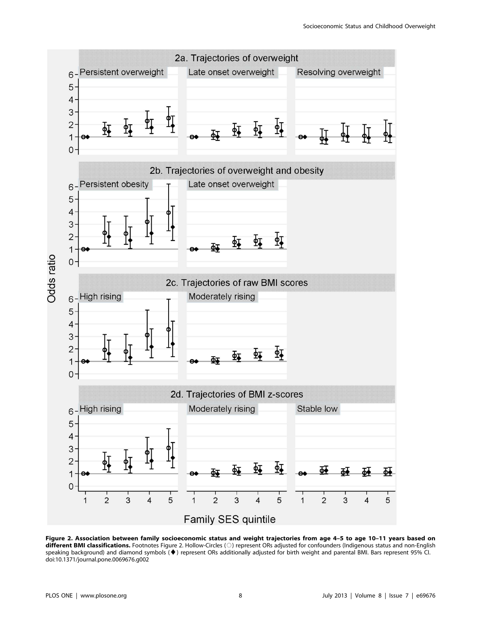

Figure 2. Association between family socioeconomic status and weight trajectories from age 4–5 to age 10–11 years based on different BMI classifications. Footnotes Figure 2. Hollow-Circles (O) represent ORs adjusted for confounders (Indigenous status and non-English speaking background) and diamond symbols (*¤*) represent ORs additionally adjusted for birth weight and parental BMI. Bars represent 95% CI. doi:10.1371/journal.pone.0069676.g002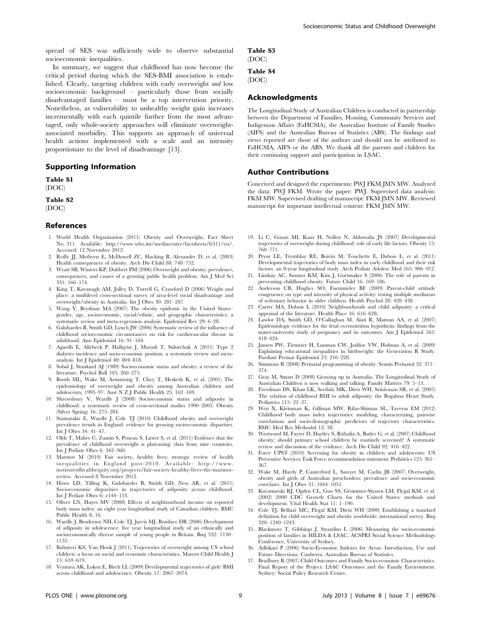spread of SES was sufficiently wide to observe substantial socioeconomic inequalities.

In summary, we suggest that childhood has now become the critical period during which the SES-BMI association is established. Clearly, targeting children with early overweight and low socioeconomic background – particularly those from socially disadvantaged families – must be a top intervention priority. Nonetheless, as vulnerability to unhealthy weight gain increases incrementally with each quintile further from the most advantaged, only whole-society approaches will eliminate overweightassociated morbidity. This supports an approach of universal health actions implemented with a scale and an intensity proportionate to the level of disadvantage [13].

## Supporting Information

# Table S1

(DOC)

# Table S2

(DOC)

## References

- 1. World Health Organization (2011) Obesity and Overweight, Fact Sheet No. 311. Available: http://www.who.int/mediacentre/factsheets/fs311/en/. Accessed: 12 November 2012.
- 2. Reilly JJ, Methven E, McDowell ZC, Hacking B, Alexander D, et al. (2003) Health consequences of obesity. Arch Dis Child 88: 748–752.
- 3. Wyatt SB, Winters KP, Dubbert PM (2006) Overweight and obesity: prevalence, consequences, and causes of a growing public health problem. Am J Med Sci 331: 166–174.
- 4. King T, Kavanagh AM, Jolley D, Turrell G, Crawford D (2006) Weight and place: a multilevel cross-sectional survey of area-level social disadvantage and overweight/obesity in Australia. Int J Obes 30: 281–287.
- 5. Wang Y, Beydoun MA (2007) The obesity epidemic in the United States– gender, age, socioeconomic, racial/ethnic, and geographic characteristics: a systematic review and meta-regression analysis. Epidemiol Rev 29: 6–28.
- 6. Galobardes B, Smith GD, Lynch JW (2006) Systematic review of the influence of childhood socioeconomic circumstances on risk for cardiovascular disease in adulthood. Ann Epidemiol 16: 91–104.
- 7. Agardh E, Allebeck P, Hallqvist J, Moradi T, Sidorchuk A (2011) Type 2 diabetes incidence and socio-economic position: a systematic review and metaanalysis. Int J Epidemiol 40: 804–818.
- 8. Sobal J, Stunkard AJ (1989) Socioeconomic status and obesity: a review of the literature. Psychol Bull 105: 260–275.
- 9. Booth ML, Wake M, Armstrong T, Chey T, Hesketh K, et al. (2001) The epidemiology of overweight and obesity among Australian children and adolescents, 1995–97. Aust N Z J Public Health 25: 162–169.
- 10. Shrewsbury V, Wardle J (2008) Socioeconomic status and adiposity in childhood: a systematic review of cross-sectional studies 1990–2005. Obesity (Silver Spring) 16: 275–284.
- 11. Stamatakis E, Wardle J, Cole TJ (2010) Childhood obesity and overweight prevalence trends in England: evidence for growing socioeconomic disparities. Int J Obes 34: 41–47.
- 12. Olds T, Maher C, Zumin S, Peneau S, Lioret S, et al. (2011) Evidence that the prevalence of childhood overweight is plateauing: data from nine countries. Int J Pediatr Obes 6: 342–360.
- 13. Marmot M (2010) Fair society, healthy lives: strategic review of health inequalities in England post-2010. Available: http://www. instituteofhealthequity.org/projects/fair-society-healthy-lives-the-marmotreview. Accessed 8 November 2012.
- 14. Howe LD, Tilling K, Galobardes B, Smith GD, Ness AR, et al. (2011) Socioeconomic disparities in trajectories of adiposity across childhood. Int J Pediatr Obes 6: e144–153.
- 15. Oliver LN, Hayes MV (2008) Effects of neighbourhood income on reported body mass index: an eight year longitudinal study of Canadian children. BMC Public Health 8: 16.
- 16. Wardle J, Brodersen NH, Cole TJ, Jarvis MJ, Boniface DR (2006) Development of adiposity in adolescence: five year longitudinal study of an ethnically and socioeconomically diverse sample of young people in Britain. Bmj 332: 1130– 1135.
- 17. Balistreri KS, Van Hook J (2011) Trajectories of overweight among US school children: a focus on social and economic characteristics. Matern Child Health J 15: 610–619.
- 18. Ventura AK, Loken E, Birch LL (2009) Developmental trajectories of girls' BMI across childhood and adolescence. Obesity 17: 2067–2074.

#### Table S3 (DOC)

# Table S4

(DOC)

## Acknowledgments

The Longitudinal Study of Australian Children is conducted in partnership between the Department of Families, Housing, Community Services and Indigenous Affairs (FaHCSIA), the Australian Institute of Family Studies (AIFS) and the Australian Bureau of Statistics (ABS). The findings and views reported are those of the authors and should not be attributed to FaHCSIA, AIFS or the ABS. We thank all the parents and children for their continuing support and participation in LSAC.

## Author Contributions

Conceived and designed the experiments: PWJ FKM JMN MW. Analyzed the data: PWJ FKM. Wrote the paper: PWJ. Supervised data analysis: FKM MW. Supervised drafting of manuscript: FKM JMN MW. Reviewed manuscript for important intellectual content: FKM JMN MW.

- 19. Li C, Goran MI, Kaur H, Nollen N, Ahluwalia JS (2007) Developmental trajectories of overweight during childhood: role of early life factors. Obesity 15: 760–771.
- 20. Pryor LE, Tremblay RE, Boivin M, Touchette E, Dubois L, et al. (2011) Developmental trajectories of body mass index in early childhood and their risk factors: an 8-year longitudinal study. Arch Pediatr Adolesc Med 165: 906–912.
- 21. Lindsay AC, Sussner KM, Kim J, Gortmaker S (2006) The role of parents in preventing childhood obesity. Future Child 16: 169–186.
- 22. Anderson CB, Hughes SO, Fuemmeler BF (2009) Parent-child attitude congruence on type and intensity of physical activity: testing multiple mediators of sedentary behavior in older children. Health Psychol 28: 428–438.
- 23. Carter MA, Dubois L (2010) Neighbourhoods and child adiposity: a critical appraisal of the literature. Health Place 16: 616–628.
- 24. Lawlor DA, Smith GD, O'Callaghan M, Alati R, Mamun AA, et al. (2007) Epidemiologic evidence for the fetal overnutrition hypothesis: findings from the mater-university study of pregnancy and its outcomes. Am J Epidemiol 165: 418–424.
- 25. Jansen PW, Tiemeier H, Looman CW, Jaddoe VW, Hofman A, et al. (2009) Explaining educational inequalities in birthweight: the Generation R Study. Paediatr Perinat Epidemiol 23: 216–228.
- 26. Simmons R (2008) Perinatal programming of obesity. Semin Perinatol 32: 371– 374.
- 27. Gray M, Smart D (2008) Growing up in Australia: The Longitudinal Study of Australian Children is now walking and talking. Family Matters 79: 5–13.
- 28. Freedman DS, Khan LK, Serdula MK, Dietz WH, Srinivasan SR, et al. (2005) The relation of childhood BMI to adult adiposity: the Bogalusa Heart Study. Pediatrics 115: 22–27.
- 29. Wen X, Kleinman K, Gillman MW, Rifas-Shiman SL, Taveras EM (2012) Childhood body mass index trajectories: modeling, characterizing, pairwise correlations and socio-demographic predictors of trajectory characteristics. BMC Med Res Methodol 12: 38.
- 30. Westwood M, Fayter D, Hartley S, Rithalia A, Butler G, et al. (2007) Childhood obesity: should primary school children be routinely screened? A systematic review and discussion of the evidence. Arch Dis Child 92: 416–422.
- 31. Force UPST (2010) Screening for obesity in children and adolescents: US Preventive Services Task Force recommendation statement. Pediatrics 125: 361– 367.
- 32. Wake M, Hardy P, Canterford L, Sawyer M, Carlin JB (2007) Overweight, obesity and girth of Australian preschoolers: prevalence and socio-economic correlates. Int J Obes 31: 1044–1051.
- 33. Kuczmarski RJ, Ogden CL, Guo SS, Grummer-Strawn LM, Flegal KM, et al. (2002) 2000 CDC Growth Charts for the United States: methods and development. Vital Health Stat 11: 1–190.
- 34. Cole TJ, Bellizzi MC, Flegal KM, Dietz WH (2000) Establishing a standard definition for child overweight and obesity worldwide: international survey. Bmj 320: 1240–1243.
- 35. Blackmore T, Gibbings J, Strazdins L (2006) Measuring the socio-economic position of families in HILDA & LSAC. ACSPRI Social Science Methodology Conference, University of Sydney.
- 36. Adhikari P (2006) Socio-Economic Indexes for Areas: Introduction, Use and Future Directions. Canberra: Australian Bureau of Statistics.
- 37. Bradbury B (2007) Child Outcomes and Family Socio-economic Characteristics. Final Report of the Project: LSAC Outcomes and the Family Environment. Sydney: Social Policy Research Centre.